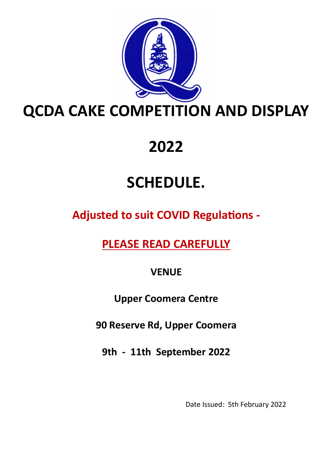

# **2022**

# **SCHEDULE.**

**Adjusted to suit COVID Regulations -**

**PLEASE READ CAREFULLY**

**VENUE**

**Upper Coomera Centre**

**90 Reserve Rd, Upper Coomera**

**9th - 11th September 2022**

Date Issued: 5th February 2022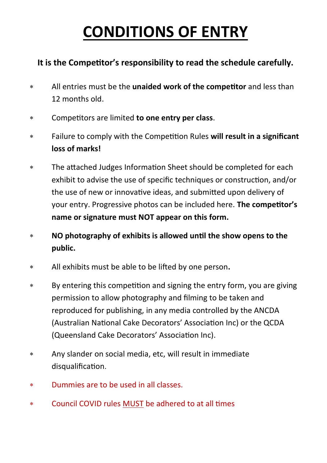# **CONDITIONS OF ENTRY**

### **It is the Competitor's responsibility to read the schedule carefully.**

- All entries must be the **unaided work of the competitor** and less than 12 months old.
- Competitors are limited **to one entry per class**.
- Failure to comply with the Competition Rules **will result in a significant loss of marks!**
- The attached Judges Information Sheet should be completed for each exhibit to advise the use of specific techniques or construction, and/or the use of new or innovative ideas, and submitted upon delivery of your entry. Progressive photos can be included here. **The competitor's name or signature must NOT appear on this form.**
- **NO photography of exhibits is allowed until the show opens to the public.**
- All exhibits must be able to be lifted by one person**.**
- By entering this competition and signing the entry form, you are giving permission to allow photography and filming to be taken and reproduced for publishing, in any media controlled by the ANCDA (Australian National Cake Decorators' Association Inc) or the QCDA (Queensland Cake Decorators' Association Inc).
- Any slander on social media, etc, will result in immediate disqualification.
- Dummies are to be used in all classes.
- Council COVID rules MUST be adhered to at all times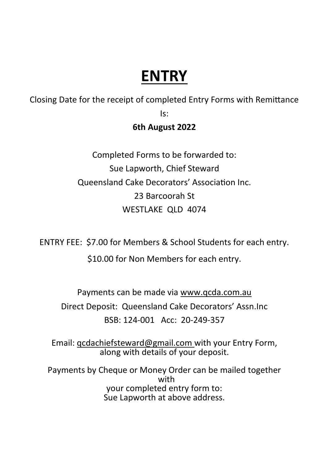## **ENTRY**

Closing Date for the receipt of completed Entry Forms with Remittance Is:

### **6th August 2022**

Completed Forms to be forwarded to: Sue Lapworth, Chief Steward Queensland Cake Decorators' Association Inc. 23 Barcoorah St WESTLAKE QLD 4074

ENTRY FEE: \$7.00 for Members & School Students for each entry.

\$10.00 for Non Members for each entry.

Payments can be made via www.qcda.com.au Direct Deposit: Queensland Cake Decorators' Assn.Inc BSB: 124-001 Acc: 20-249-357

Email: qcdachiefsteward@gmail.com with your Entry Form, along with details of your deposit.

Payments by Cheque or Money Order can be mailed together with your completed entry form to: Sue Lapworth at above address.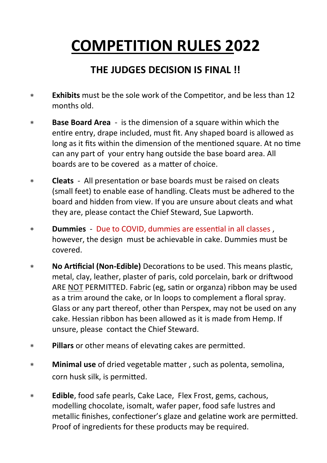# **COMPETITION RULES 2022**

### **THE JUDGES DECISION IS FINAL !!**

- **Exhibits** must be the sole work of the Competitor, and be less than 12 months old.
- **Base Board Area**  is the dimension of a square within which the entire entry, drape included, must fit. Any shaped board is allowed as long as it fits within the dimension of the mentioned square. At no time can any part of your entry hang outside the base board area. All boards are to be covered as a matter of choice.
- **Cleats** All presentation or base boards must be raised on cleats (small feet) to enable ease of handling. Cleats must be adhered to the board and hidden from view. If you are unsure about cleats and what they are, please contact the Chief Steward, Sue Lapworth.
- **Dummies** Due to COVID, dummies are essential in all classes , however, the design must be achievable in cake. Dummies must be covered.
- **No Artificial (Non-Edible)** Decorations to be used. This means plastic, metal, clay, leather, plaster of paris, cold porcelain, bark or driftwood ARE NOT PERMITTED. Fabric (eg, satin or organza) ribbon may be used as a trim around the cake, or In loops to complement a floral spray. Glass or any part thereof, other than Perspex, may not be used on any cake. Hessian ribbon has been allowed as it is made from Hemp. If unsure, please contact the Chief Steward.
- **Pillars** or other means of elevating cakes are permitted.
- **Minimal use** of dried vegetable matter , such as polenta, semolina, corn husk silk, is permitted.
- **Edible**, food safe pearls, Cake Lace, Flex Frost, gems, cachous, modelling chocolate, isomalt, wafer paper, food safe lustres and metallic finishes, confectioner's glaze and gelatine work are permitted. Proof of ingredients for these products may be required.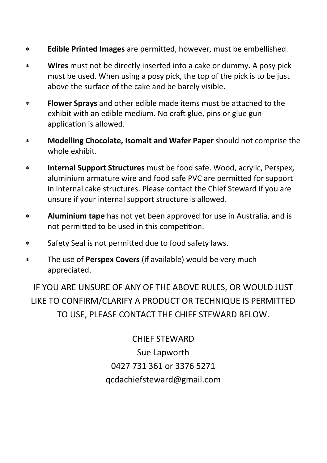- **Edible Printed Images** are permitted, however, must be embellished.
- **Wires** must not be directly inserted into a cake or dummy. A posy pick must be used. When using a posy pick, the top of the pick is to be just above the surface of the cake and be barely visible.
- **Flower Sprays** and other edible made items must be attached to the exhibit with an edible medium. No craft glue, pins or glue gun application is allowed.
- **Modelling Chocolate, Isomalt and Wafer Paper** should not comprise the whole exhibit.
- **Internal Support Structures** must be food safe. Wood, acrylic, Perspex, aluminium armature wire and food safe PVC are permitted for support in internal cake structures. Please contact the Chief Steward if you are unsure if your internal support structure is allowed.
- **Aluminium tape** has not yet been approved for use in Australia, and is not permitted to be used in this competition.
- Safety Seal is not permitted due to food safety laws.
- The use of **Perspex Covers** (if available) would be very much appreciated.

IF YOU ARE UNSURE OF ANY OF THE ABOVE RULES, OR WOULD JUST LIKE TO CONFIRM/CLARIFY A PRODUCT OR TECHNIQUE IS PERMITTED TO USE, PLEASE CONTACT THE CHIEF STEWARD BELOW.

> CHIEF STEWARD Sue Lapworth 0427 731 361 or 3376 5271 qcdachiefsteward@gmail.com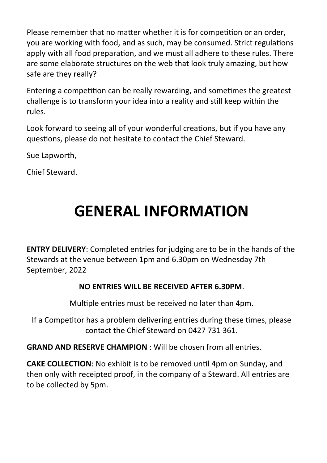Please remember that no matter whether it is for competition or an order, you are working with food, and as such, may be consumed. Strict regulations apply with all food preparation, and we must all adhere to these rules. There are some elaborate structures on the web that look truly amazing, but how safe are they really?

Entering a competition can be really rewarding, and sometimes the greatest challenge is to transform your idea into a reality and still keep within the rules.

Look forward to seeing all of your wonderful creations, but if you have any questions, please do not hesitate to contact the Chief Steward.

Sue Lapworth,

Chief Steward.

# **GENERAL INFORMATION**

**ENTRY DELIVERY**: Completed entries for judging are to be in the hands of the Stewards at the venue between 1pm and 6.30pm on Wednesday 7th September, 2022

### **NO ENTRIES WILL BE RECEIVED AFTER 6.30PM**.

Multiple entries must be received no later than 4pm.

If a Competitor has a problem delivering entries during these times, please contact the Chief Steward on 0427 731 361.

**GRAND AND RESERVE CHAMPION** : Will be chosen from all entries.

**CAKE COLLECTION**: No exhibit is to be removed until 4pm on Sunday, and then only with receipted proof, in the company of a Steward. All entries are to be collected by 5pm.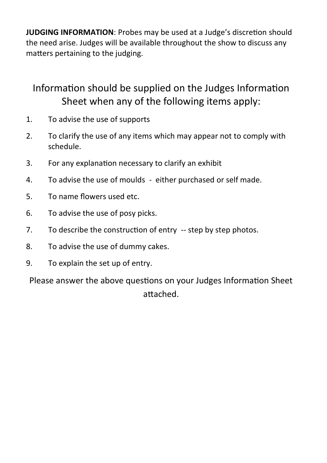**JUDGING INFORMATION**: Probes may be used at a Judge's discretion should the need arise. Judges will be available throughout the show to discuss any matters pertaining to the judging.

### Information should be supplied on the Judges Information Sheet when any of the following items apply:

- 1. To advise the use of supports
- 2. To clarify the use of any items which may appear not to comply with schedule.
- 3. For any explanation necessary to clarify an exhibit
- 4. To advise the use of moulds either purchased or self made.
- 5. To name flowers used etc.
- 6. To advise the use of posy picks.
- 7. To describe the construction of entry -- step by step photos.
- 8. To advise the use of dummy cakes.
- 9. To explain the set up of entry.

Please answer the above questions on your Judges Information Sheet attached.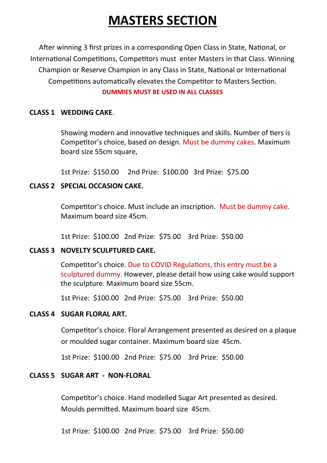## **MASTERS SECTION**

After winning 3 first prizes in a corresponding Open Class in State, National, or International Competitions, Competitors must enter Masters in that Class. Winning Champion or Reserve Champion in any Class in State, National or International Competitions automatically elevates the Competitor to Masters Section.

### **DUMMIES MUST BE USED IN ALL CLASSES**

### **CLASS 1 WEDDING CAKE**.

Showing modern and innovative techniques and skills. Number of tiers is Competitor's choice, based on design. Must be dummy cakes. Maximum board size 55cm square,

1st Prize: \$150.00 2nd Prize: \$100.00 3rd Prize: \$75.00

### **CLASS 2 SPECIAL OCCASION CAKE.**

Competitor's choice. Must include an inscription. Must be dummy cake. Maximum board size 45cm.

1st Prize: \$100.00 2nd Prize: \$75.00 3rd Prize: \$50.00

### **CLASS 3 NOVELTY SCULPTURED CAKE.**

Competitor's choice. Due to COVID Regulations, this entry must be a sculptured dummy. However, please detail how using cake would support the sculpture. Maximum board size 55cm.

1st Prize: \$100.00 2nd Prize: \$75.00 3rd Prize: \$50.00

### **CLASS 4 SUGAR FLORAL ART.**

Competitor's choice. Floral Arrangement presented as desired on a plaque or moulded sugar container. Maximum board size 45cm.

1st Prize: \$100.00 2nd Prize: \$75.00 3rd Prize: \$50.00

### **CLASS 5 SUGAR ART - NON-FLORAL**

Competitor's choice. Hand modelled Sugar Art presented as desired. Moulds permitted. Maximum board size 45cm.

1st Prize: \$100.00 2nd Prize: \$75.00 3rd Prize: \$50.00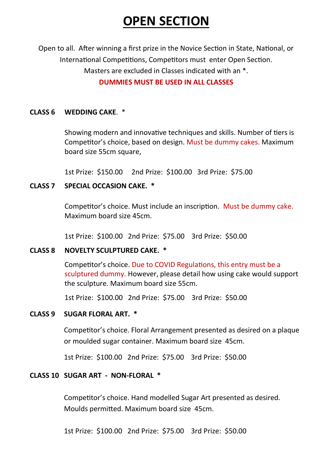## **OPEN SECTION**

Open to all. After winning a first prize in the Novice Section in State, National, or International Competitions, Competitors must enter Open Section. Masters are excluded in Classes indicated with an \*. **DUMMIES MUST BE USED IN ALL CLASSES**

#### **CLASS 6 WEDDING CAKE**. \*

Showing modern and innovative techniques and skills. Number of tiers is Competitor's choice, based on design. Must be dummy cakes. Maximum board size 55cm square,

1st Prize: \$150.00 2nd Prize: \$100.00 3rd Prize: \$75.00

#### **CLASS 7 SPECIAL OCCASION CAKE. \***

Competitor's choice. Must include an inscription. Must be dummy cake. Maximum board size 45cm.

1st Prize: \$100.00 2nd Prize: \$75.00 3rd Prize: \$50.00

#### **CLASS 8 NOVELTY SCULPTURED CAKE. \***

Competitor's choice. Due to COVID Regulations, this entry must be a sculptured dummy. However, please detail how using cake would support the sculpture. Maximum board size 55cm.

1st Prize: \$100.00 2nd Prize: \$75.00 3rd Prize: \$50.00

#### **CLASS 9 SUGAR FLORAL ART. \***

Competitor's choice. Floral Arrangement presented as desired on a plaque or moulded sugar container. Maximum board size 45cm.

1st Prize: \$100.00 2nd Prize: \$75.00 3rd Prize: \$50.00

### **CLASS 10 SUGAR ART - NON-FLORAL \***

Competitor's choice. Hand modelled Sugar Art presented as desired. Moulds permitted. Maximum board size 45cm.

1st Prize: \$100.00 2nd Prize: \$75.00 3rd Prize: \$50.00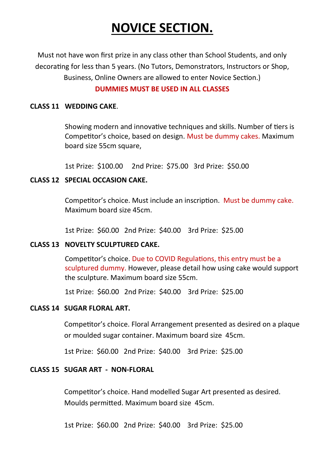## **NOVICE SECTION.**

Must not have won first prize in any class other than School Students, and only decorating for less than 5 years. (No Tutors, Demonstrators, Instructors or Shop, Business, Online Owners are allowed to enter Novice Section.)

### **DUMMIES MUST BE USED IN ALL CLASSES**

### **CLASS 11 WEDDING CAKE**.

Showing modern and innovative techniques and skills. Number of tiers is Competitor's choice, based on design. Must be dummy cakes. Maximum board size 55cm square,

1st Prize: \$100.00 2nd Prize: \$75.00 3rd Prize: \$50.00

### **CLASS 12 SPECIAL OCCASION CAKE.**

Competitor's choice. Must include an inscription. Must be dummy cake. Maximum board size 45cm.

1st Prize: \$60.00 2nd Prize: \$40.00 3rd Prize: \$25.00

### **CLASS 13 NOVELTY SCULPTURED CAKE.**

Competitor's choice. Due to COVID Regulations, this entry must be a sculptured dummy. However, please detail how using cake would support the sculpture. Maximum board size 55cm.

1st Prize: \$60.00 2nd Prize: \$40.00 3rd Prize: \$25.00

### **CLASS 14 SUGAR FLORAL ART.**

Competitor's choice. Floral Arrangement presented as desired on a plaque or moulded sugar container. Maximum board size 45cm.

1st Prize: \$60.00 2nd Prize: \$40.00 3rd Prize: \$25.00

### **CLASS 15 SUGAR ART - NON-FLORAL**

Competitor's choice. Hand modelled Sugar Art presented as desired. Moulds permitted. Maximum board size 45cm.

1st Prize: \$60.00 2nd Prize: \$40.00 3rd Prize: \$25.00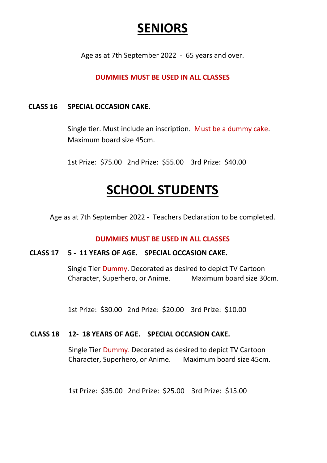### **SENIORS**

Age as at 7th September 2022 - 65 years and over.

### **DUMMIES MUST BE USED IN ALL CLASSES**

### **CLASS 16 SPECIAL OCCASION CAKE.**

Single tier. Must include an inscription. Must be a dummy cake. Maximum board size 45cm.

1st Prize: \$75.00 2nd Prize: \$55.00 3rd Prize: \$40.00

### **SCHOOL STUDENTS**

Age as at 7th September 2022 - Teachers Declaration to be completed.

#### **DUMMIES MUST BE USED IN ALL CLASSES**

#### **CLASS 17 5 - 11 YEARS OF AGE. SPECIAL OCCASION CAKE.**

Single Tier Dummy. Decorated as desired to depict TV Cartoon Character, Superhero, or Anime. Maximum board size 30cm.

1st Prize: \$30.00 2nd Prize: \$20.00 3rd Prize: \$10.00

### **CLASS 18 12- 18 YEARS OF AGE. SPECIAL OCCASION CAKE.**

Single Tier Dummy. Decorated as desired to depict TV Cartoon Character, Superhero, or Anime. Maximum board size 45cm.

1st Prize: \$35.00 2nd Prize: \$25.00 3rd Prize: \$15.00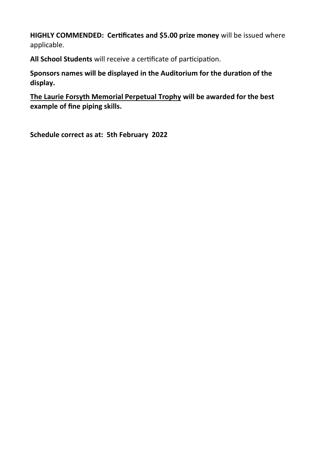**HIGHLY COMMENDED: Certificates and \$5.00 prize money** will be issued where applicable.

**All School Students** will receive a certificate of participation.

**Sponsors names will be displayed in the Auditorium for the duration of the display.** 

**The Laurie Forsyth Memorial Perpetual Trophy will be awarded for the best example of fine piping skills.**

**Schedule correct as at: 5th February 2022**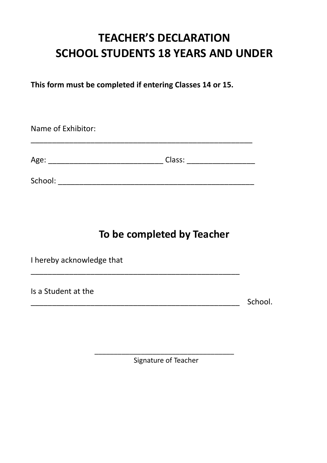### **TEACHER'S DECLARATION SCHOOL STUDENTS 18 YEARS AND UNDER**

**This form must be completed if entering Classes 14 or 15.**

| Name of Exhibitor: |        |  |  |
|--------------------|--------|--|--|
| Age:               | Class: |  |  |
| School:            |        |  |  |

\_\_\_\_\_\_\_\_\_\_\_\_\_\_\_\_\_\_\_\_\_\_\_\_\_\_\_\_\_\_\_\_\_\_\_\_\_\_\_\_\_\_\_\_\_\_\_\_\_

### **To be completed by Teacher**

I hereby acknowledge that

Is a Student at the

\_\_\_\_\_\_\_\_\_\_\_\_\_\_\_\_\_\_\_\_\_\_\_\_\_\_\_\_\_\_\_\_\_\_\_\_\_\_\_\_\_\_\_\_\_\_\_\_\_ School.

\_\_\_\_\_\_\_\_\_\_\_\_\_\_\_\_\_\_\_\_\_\_\_\_\_\_\_\_\_\_\_\_\_\_\_\_ Signature of Teacher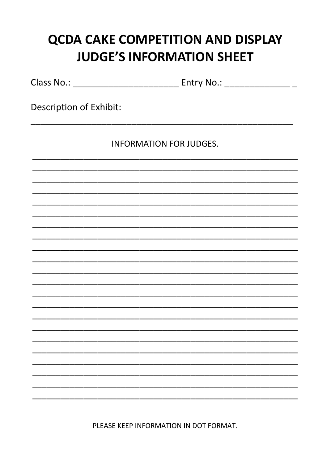## **QCDA CAKE COMPETITION AND DISPLAY JUDGE'S INFORMATION SHEET**

Description of Exhibit:

**INFORMATION FOR JUDGES.** 

PLEASE KEEP INFORMATION IN DOT FORMAT.